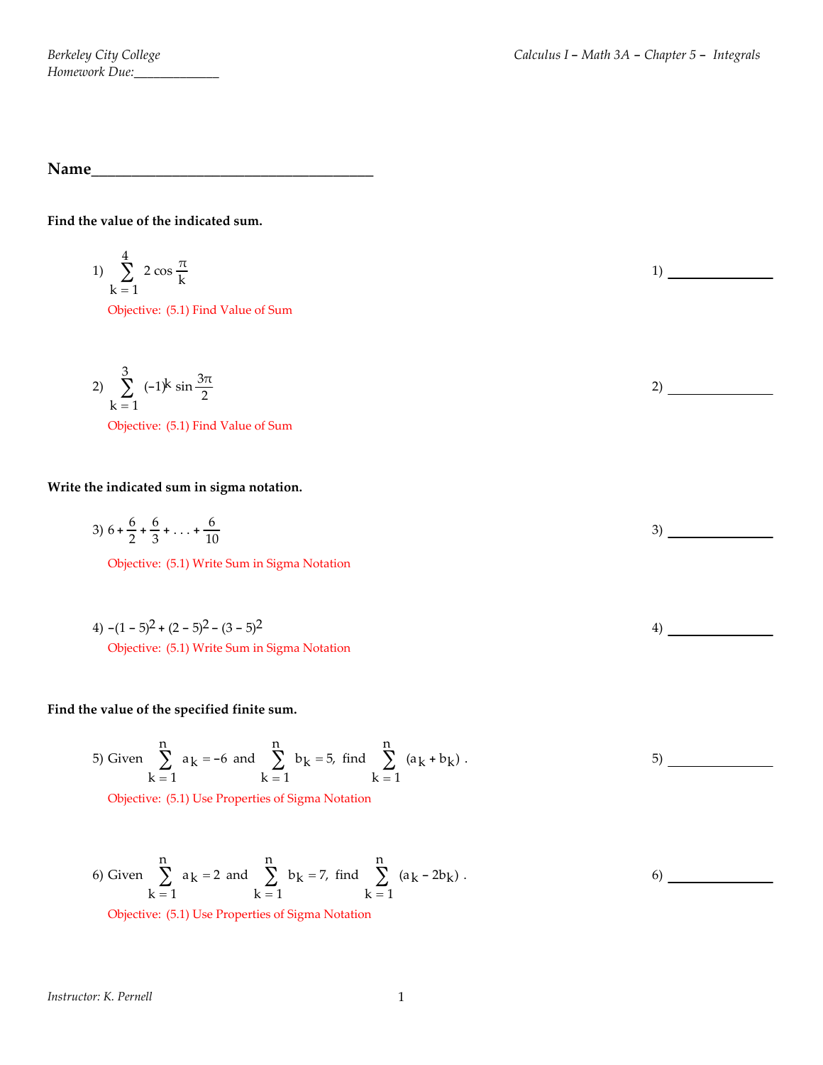**Name\_\_\_\_\_\_\_\_\_\_\_\_\_\_\_\_\_\_\_\_\_\_\_\_\_\_\_\_\_\_\_\_\_\_\_**

**Find the value of the indicated sum.**

1) 
$$
\sum_{k=1}^{4} 2 \cos \frac{\pi}{k}
$$
  
Objective: (5.1) Find Value of Sum

2) 
$$
\sum_{k=1}^{3} (-1)^{k} \sin \frac{3\pi}{2}
$$
  
Objective: (5.1) Find Value of Sum

## **Write the indicated sum in sigma notation.**

3) 
$$
6 + \frac{6}{2} + \frac{6}{3} + \ldots + \frac{6}{10}
$$
 3)

Objective: (5.1) Write Sum in Sigma Notation

4) 
$$
-(1-5)^2 + (2-5)^2 - (3-5)^2
$$
  
Objective: (5.1) Write Sum in Sigma Notation

## **Find the value of the specified finite sum.**

5) Given 
$$
\sum_{k=1}^{n} a_k = -6
$$
 and  $\sum_{k=1}^{n} b_k = 5$ , find  $\sum_{k=1}^{n} (a_k + b_k)$ .

Objective: (5.1) Use Properties of Sigma Notation

6) Given 
$$
\sum_{k=1}^{n} a_k = 2
$$
 and  $\sum_{k=1}^{n} b_k = 7$ , find  $\sum_{k=1}^{n} (a_k - 2b_k)$ .

Objective: (5.1) Use Properties of Sigma Notation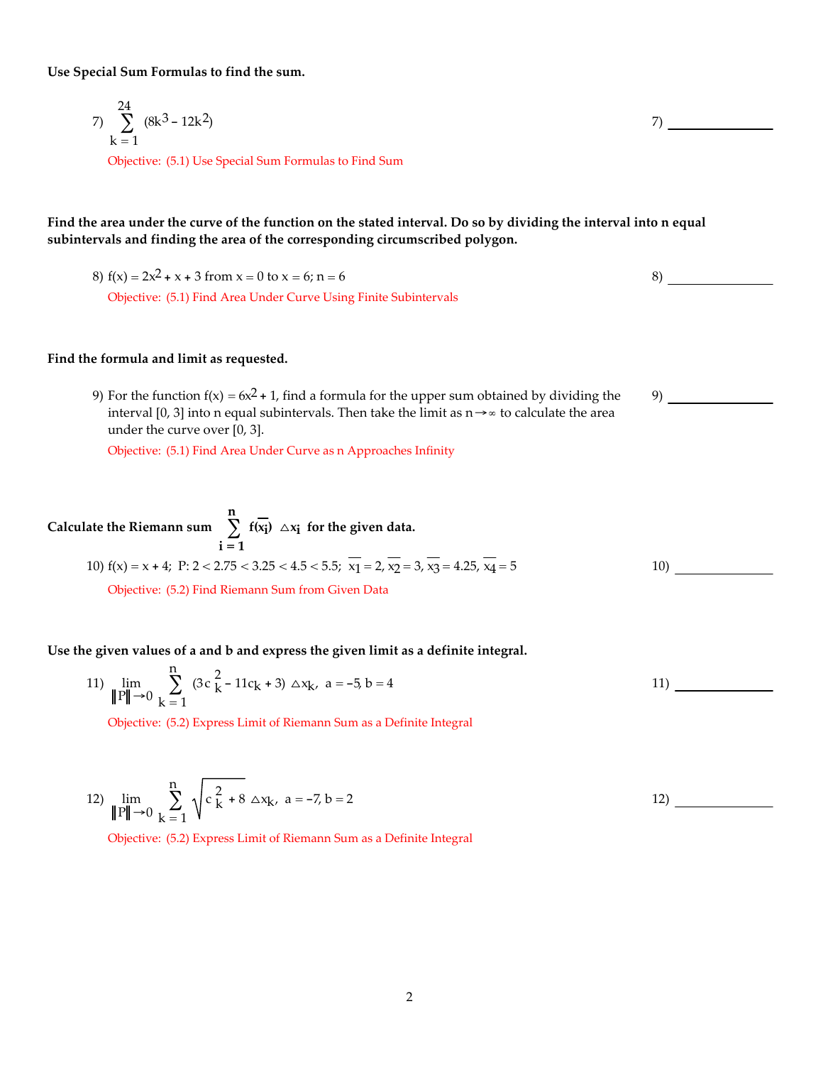**Use Special Sum Formulas to find the sum.**

7) 
$$
\sum_{k=1}^{24} (8k^3 - 12k^2)
$$
  
Objective: (5.1) Use Special Sum Formulas to Find Sum

Find the area under the curve of the function on the stated interval. Do so by dividing the interval into n equal **subintervals and finding the area of the corresponding circumscribed polygon.**

8) 
$$
f(x) = 2x^2 + x + 3
$$
 from  $x = 0$  to  $x = 6$ ;  $n = 6$  8)  
Objective: (5.1) Find Area Under Curve Using Finite Subintervals

#### **Find the formula and limit as requested.**

9) For the function  $f(x) = 6x^2 + 1$ , find a formula for the upper sum obtained by dividing the interval [0, 3] into n equal subintervals. Then take the limit as  $n \rightarrow ∞$  to calculate the area under the curve over [0, 3].

Objective: (5.1) Find Area Under Curve as n Approaches Infinity

Calculate the Riemann sum 
$$
\sum_{i=1}^{n} f(\overline{x_i}) \triangle x_i
$$
 for the given data.  
10)  $f(x) = x + 4$ ; P:  $2 < 2.75 < 3.25 < 4.5 < 5.5$ ;  $\overline{x_1} = 2$ ,  $\overline{x_2} = 3$ ,  $\overline{x_3} = 4.25$ ,  $\overline{x_4} = 5$   
Objective: (5.2) Find Riemann Sum from Given Data

**Use the given values of a and b and express the given limit as a definite integral.**

11) 
$$
\lim_{\|P\| \to 0} \sum_{k=1}^{n} (3c_k^2 - 11c_k + 3) \Delta x_k, \quad a = -5, b = 4
$$

Objective: (5.2) Express Limit of Riemann Sum as a Definite Integral

12) 
$$
\lim_{\|P\| \to 0} \sum_{k=1}^{n} \sqrt{c_k^2 + 8} \Delta x_k, \quad a = -7, b = 2
$$

Objective: (5.2) Express Limit of Riemann Sum as a Definite Integral

9)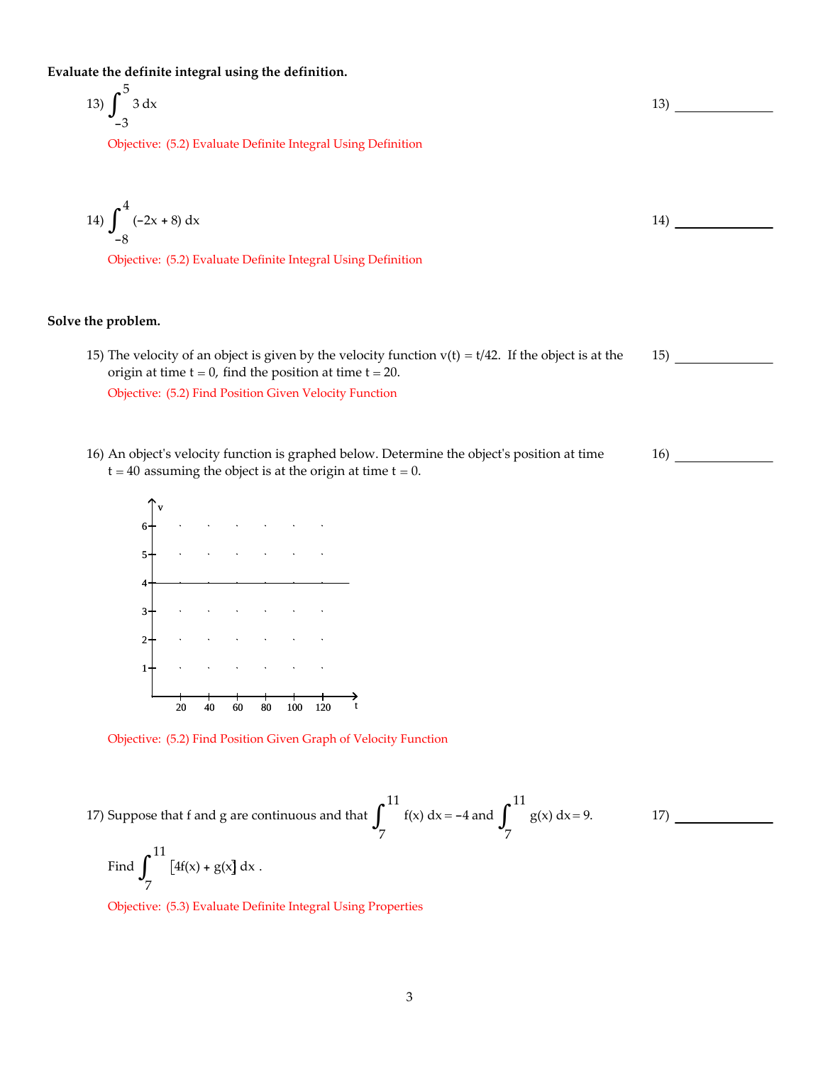**Evaluate the definite integral using the definition.**

$$
13)\int_{-3}^{5} 3 \, \mathrm{dx}
$$

Objective: (5.2) Evaluate Definite Integral Using Definition

14) 
$$
\int_{-8}^{4} (-2x + 8) dx
$$
  
Objective: (5.2) Evaluate Definite Integral Using Definition

16)

**Solve the problem.**

- 15) The velocity of an object is given by the velocity function  $v(t) = t/42$ . If the object is at the origin at time  $t = 0$ , find the position at time  $t = 20$ . 15) Objective: (5.2) Find Position Given Velocity Function
- 16) An objectʹs velocity function is graphed below. Determine the objectʹs position at time  $t = 40$  assuming the object is at the origin at time  $t = 0$ .



Objective: (5.2) Find Position Given Graph of Velocity Function

17) Suppose that f and g are continuous and that 11 7  $\int_{0}^{11} f(x) dx = -4$  and  $\int_{0}^{11} f(x) dx = -4$ 7  $\int_{-}^{+}$  g(x) dx = 9. Find 11 7  $\int_{-}^{+} [4f(x) + g(x)] dx$ . 17)

Objective: (5.3) Evaluate Definite Integral Using Properties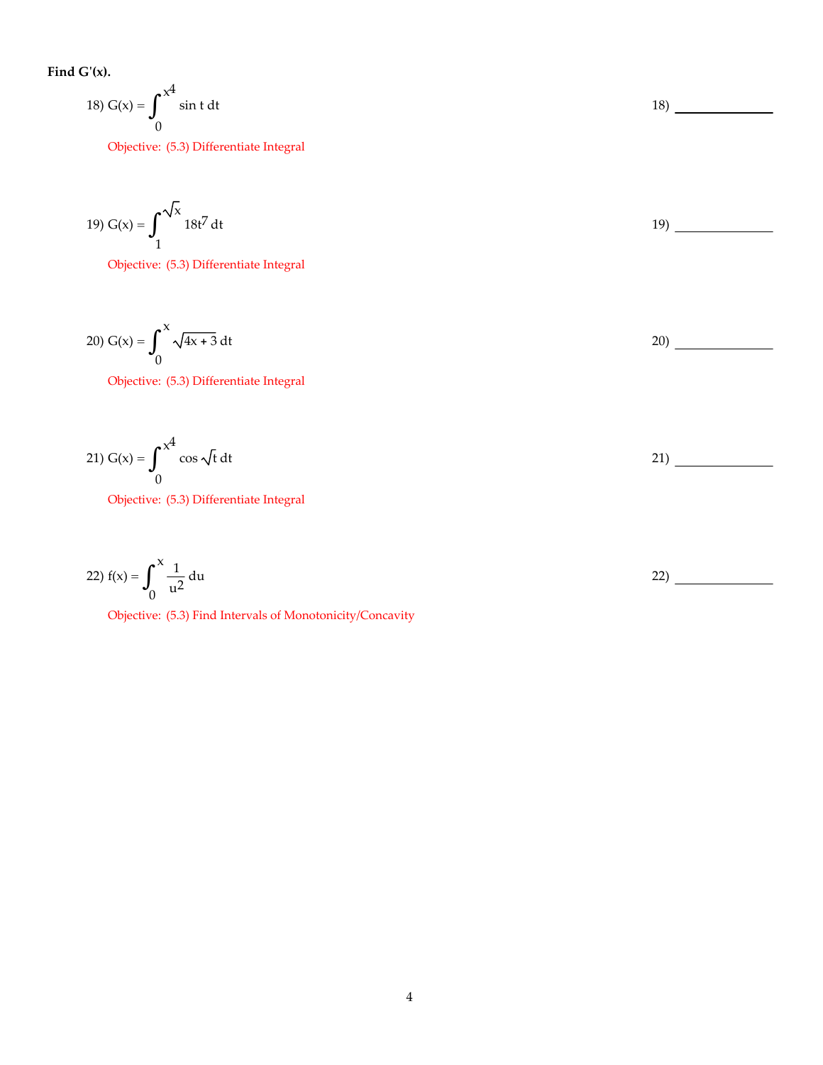**Find Gʹ(x).**

18) 
$$
G(x) = \int_0^{x^4} \sin t \, dt
$$
 18)

Objective: (5.3) Differentiate Integral

19) 
$$
G(x) = \int_{1}^{\sqrt{x}} 18t^7 dt
$$

Objective: (5.3) Differentiate Integral

20) G(x) = x 0  $\int_{0}^{\infty} \sqrt{4x + 3} dt$  20)

Objective: (5.3) Differentiate Integral

21) 
$$
G(x) = \int_0^{x^4} \cos \sqrt{t} dt
$$
 21)

Objective: (5.3) Differentiate Integral

22) 
$$
f(x) = \int_0^x \frac{1}{u^2} du
$$

Objective: (5.3) Find Intervals of Monotonicity/Concavity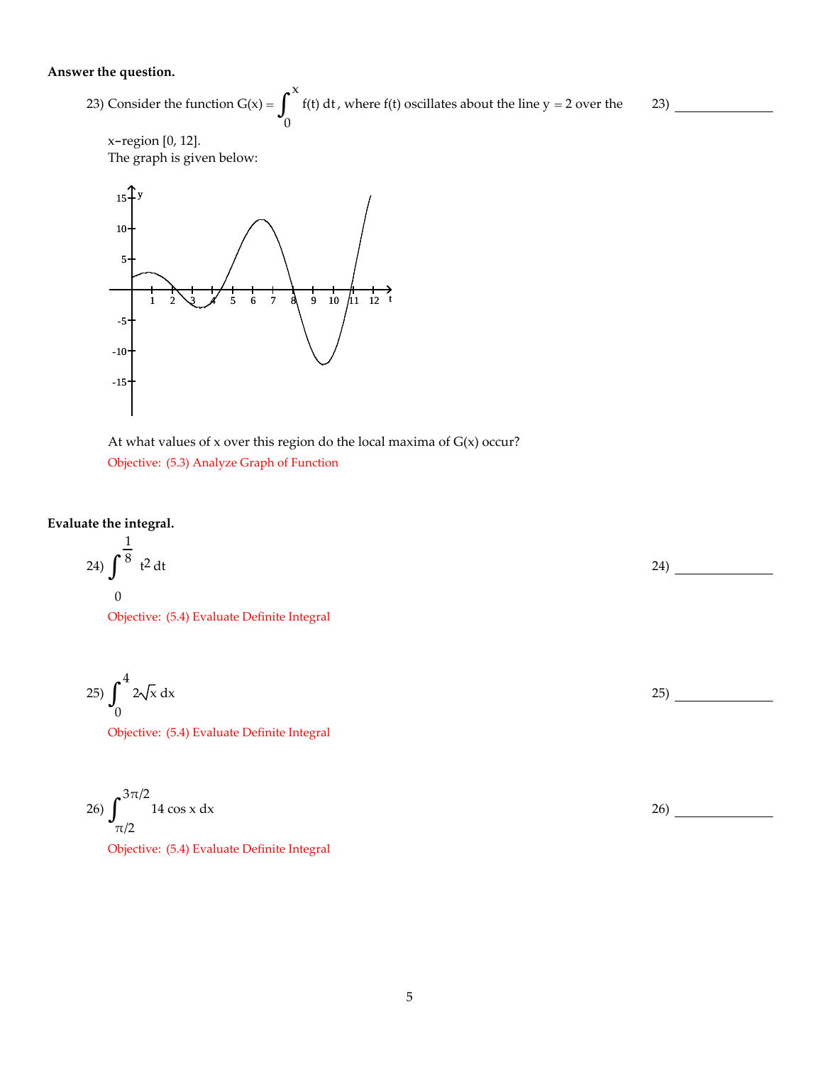#### **Answer the question.**

23) Consider the function  $G(x) =$ x  $\boldsymbol{0}$  $\int_{0}^{\infty} f(t) dt$ , where  $f(t)$  oscillates about the line y = 2 over the

23)

$$
x\text{-region [0, 12]}.
$$

The graph is given below:





### **Evaluate the integral.**

 $\overline{1}$ 

24) 
$$
\int_{0}^{\frac{1}{8}} t^2 dt
$$

Objective: (5.4) Evaluate Definite Integral

$$
25\int_0^4 2\sqrt{x} \, \mathrm{d}x \tag{25}
$$

Objective: (5.4) Evaluate Definite Integral

26) 
$$
\int_{\pi/2}^{3\pi/2} 14 \cos x \, dx
$$
 26)  
Objective: (5.4) Evaluate Definite Integral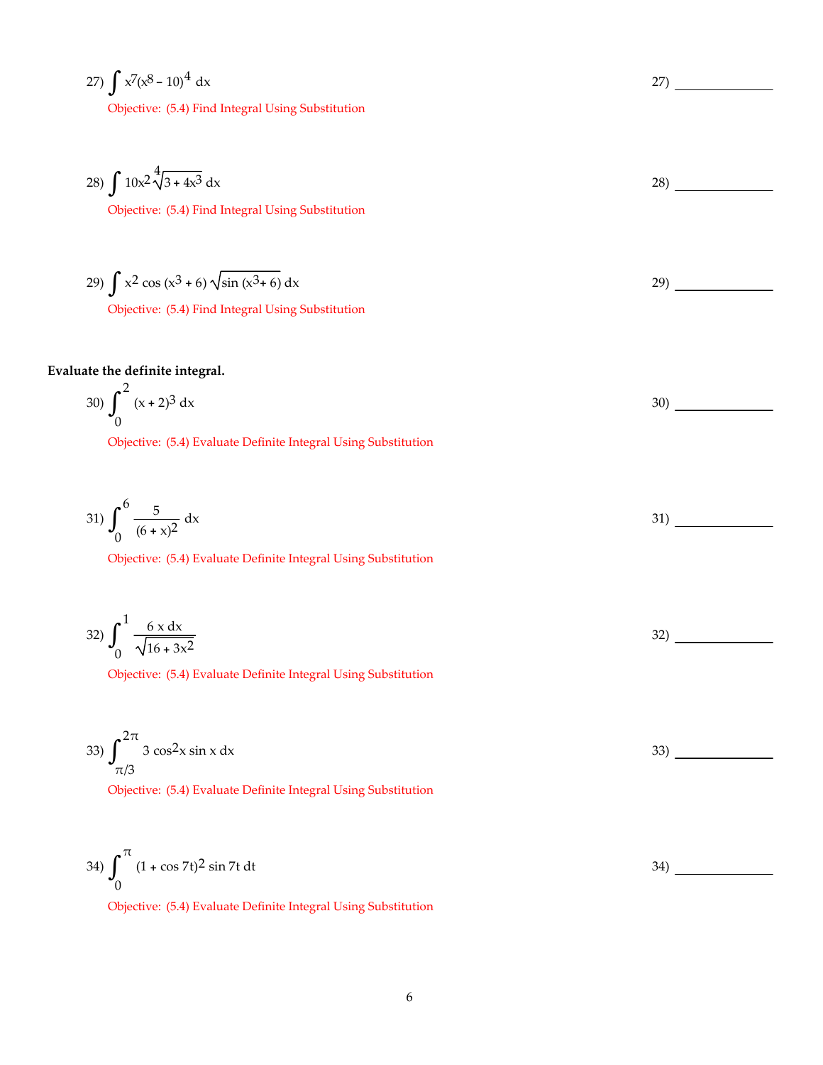$$
27)\int x^{7}(x^{8}-10)^{4} dx
$$

Objective: (5.4) Find Integral Using Substitution

28) 
$$
\int 10x^2 \sqrt[4]{3+4x^3} dx
$$

Objective: (5.4) Find Integral Using Substitution

29) 
$$
\int x^2 \cos(x^3 + 6) \sqrt{\sin(x^3 + 6)} dx
$$

Objective: (5.4) Find Integral Using Substitution

# **Evaluate the definite integral.**

30) 
$$
\int_0^2 (x+2)^3 dx
$$

Objective: (5.4) Evaluate Definite Integral Using Substitution

$$
31)\int_{0}^{6} \frac{5}{(6+x)^2} dx
$$

Objective: (5.4) Evaluate Definite Integral Using Substitution

$$
32)\int_0^1 \frac{6 \times dx}{\sqrt{16 + 3x^2}}
$$

Objective: (5.4) Evaluate Definite Integral Using Substitution

Objective: (5.4) Evaluate Definite Integral Using Substitution

33) 
$$
\int_{\pi/3}^{2\pi} 3 \cos^2 x \sin x \, dx
$$
33) 33  
Objective: (5.4) Evaluate Definite Integral Using Substitution

34) π  $\boldsymbol{0}$  $\int_{0}^{17} (1 + \cos 7t)^2 \sin 7t \, dt$  34)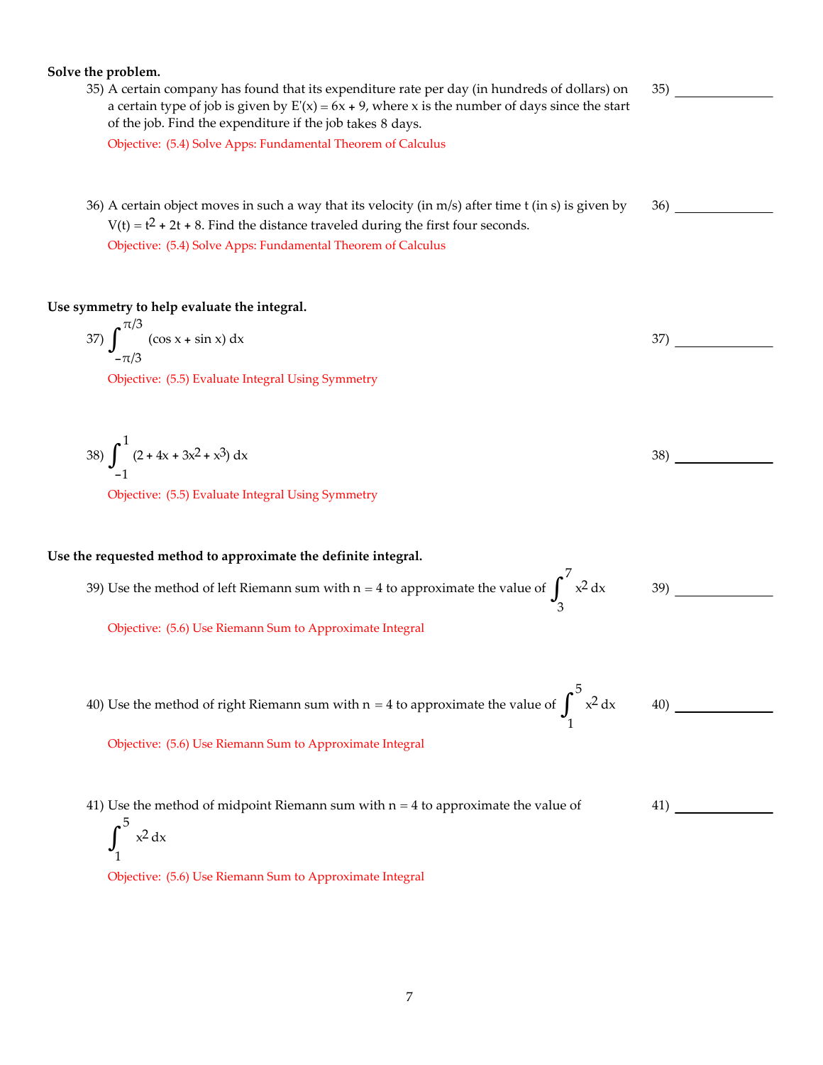| Solve the problem.                                                                                                                                                                                                                                               |     |
|------------------------------------------------------------------------------------------------------------------------------------------------------------------------------------------------------------------------------------------------------------------|-----|
| 35) A certain company has found that its expenditure rate per day (in hundreds of dollars) on<br>a certain type of job is given by $E'(x) = 6x + 9$ , where x is the number of days since the start<br>of the job. Find the expenditure if the job takes 8 days. | 35) |
| Objective: (5.4) Solve Apps: Fundamental Theorem of Calculus                                                                                                                                                                                                     |     |
| 36) A certain object moves in such a way that its velocity (in m/s) after time t (in s) is given by<br>$V(t) = t^2 + 2t + 8$ . Find the distance traveled during the first four seconds.<br>Objective: (5.4) Solve Apps: Fundamental Theorem of Calculus         | 36) |
| Use symmetry to help evaluate the integral.                                                                                                                                                                                                                      |     |
| 37) $\int_{0}^{\pi/3}$ (cos x + sin x) dx                                                                                                                                                                                                                        | 37) |
| Objective: (5.5) Evaluate Integral Using Symmetry                                                                                                                                                                                                                |     |
| 38) $\int_{-1}^{1} (2 + 4x + 3x^2 + x^3) dx$                                                                                                                                                                                                                     | 38) |
| Objective: (5.5) Evaluate Integral Using Symmetry                                                                                                                                                                                                                |     |
| Use the requested method to approximate the definite integral.                                                                                                                                                                                                   |     |
| 39) Use the method of left Riemann sum with $n = 4$ to approximate the value of $\int_{2}^{7} x^2 dx$                                                                                                                                                            | 39) |
| Objective: (5.6) Use Riemann Sum to Approximate Integral                                                                                                                                                                                                         |     |
| 40) Use the method of right Riemann sum with $n = 4$ to approximate the value of $\int_{-\infty}^{\infty} x^2 dx$                                                                                                                                                | 40) |
| Objective: (5.6) Use Riemann Sum to Approximate Integral                                                                                                                                                                                                         |     |
| 41) Use the method of midpoint Riemann sum with $n = 4$ to approximate the value of<br>$x^2 dx$                                                                                                                                                                  | 41) |
| Objective: (5.6) Use Riemann Sum to Approximate Integral                                                                                                                                                                                                         |     |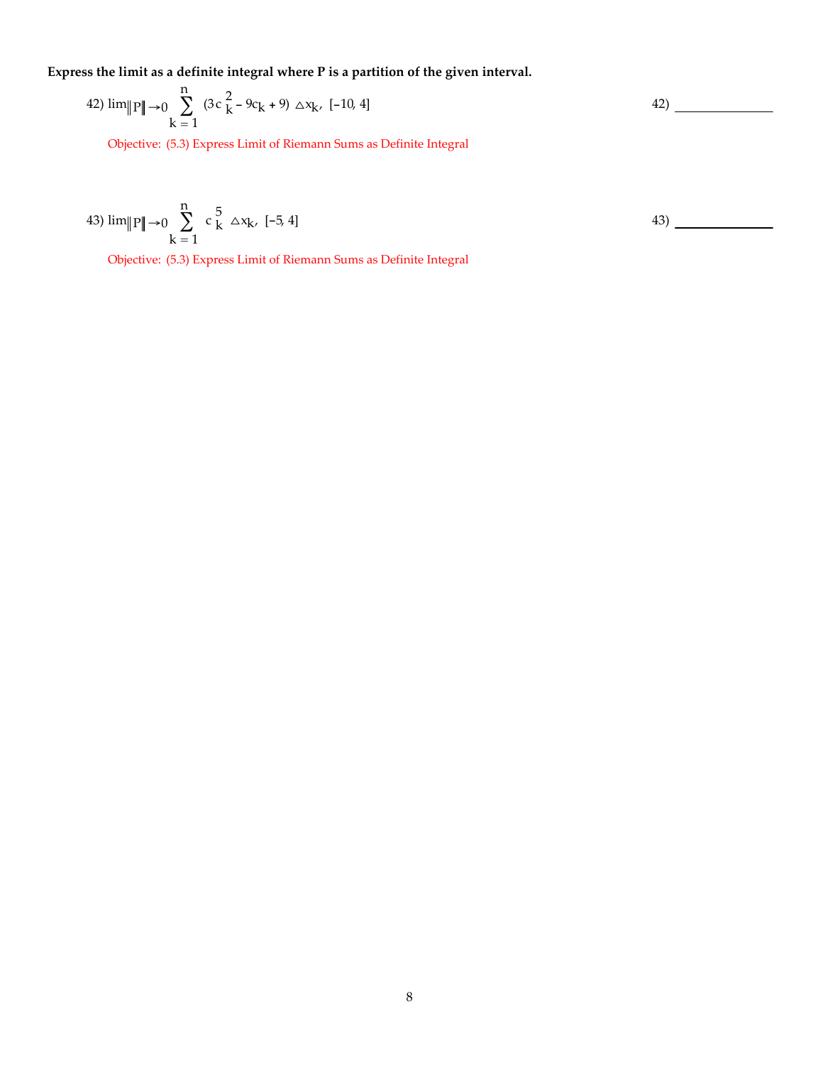**Express the limit as a definite integral where P is a partition of the given interval.**

42) 
$$
\lim_{k \to 0} \sum_{k=1}^{n} (3c_k^2 - 9c_k + 9) \triangle x_k
$$
, [-10, 4]

Objective: (5.3) Express Limit of Riemann Sums as Definite Integral

43) 
$$
\lim_{k \to \infty} \sum_{k=1}^{n} c_k^5 \Delta x_k
$$
, [-5, 4]

Objective: (5.3) Express Limit of Riemann Sums as Definite Integral